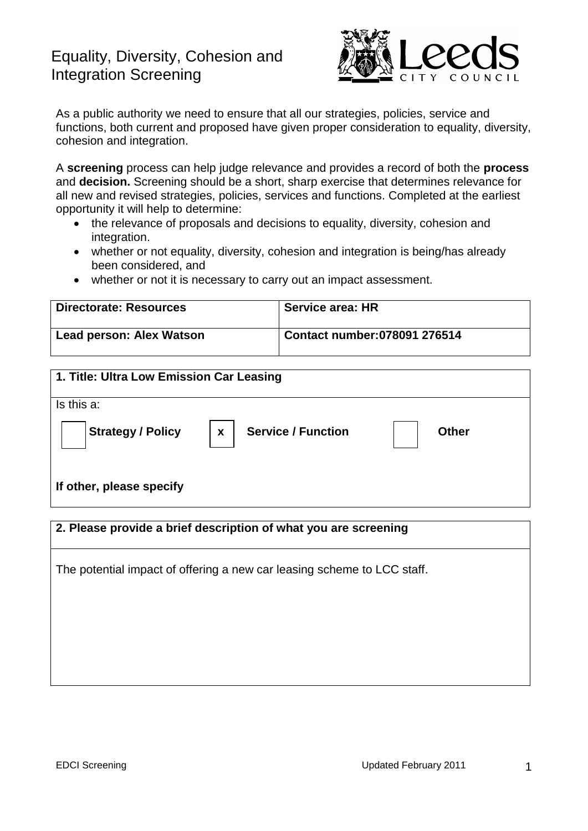# Equality, Diversity, Cohesion and Integration Screening



As a public authority we need to ensure that all our strategies, policies, service and functions, both current and proposed have given proper consideration to equality, diversity, cohesion and integration.

A **screening** process can help judge relevance and provides a record of both the **process** and **decision.** Screening should be a short, sharp exercise that determines relevance for all new and revised strategies, policies, services and functions. Completed at the earliest opportunity it will help to determine:

- the relevance of proposals and decisions to equality, diversity, cohesion and integration.
- whether or not equality, diversity, cohesion and integration is being/has already been considered, and
- whether or not it is necessary to carry out an impact assessment.

| <b>Directorate: Resources</b> | <b>Service area: HR</b>       |
|-------------------------------|-------------------------------|
| Lead person: Alex Watson      | Contact number: 078091 276514 |

| 1. Title: Ultra Low Emission Car Leasing |                                           |       |
|------------------------------------------|-------------------------------------------|-------|
| Is this a:                               |                                           |       |
| $\big $ Strategy / Policy                | <b>Service / Function</b><br>$\mathbf{x}$ | Other |
| If other, please specify                 |                                           |       |

| 2. Please provide a brief description of what you are screening         |  |  |
|-------------------------------------------------------------------------|--|--|
| The potential impact of offering a new car leasing scheme to LCC staff. |  |  |
|                                                                         |  |  |
|                                                                         |  |  |
|                                                                         |  |  |
|                                                                         |  |  |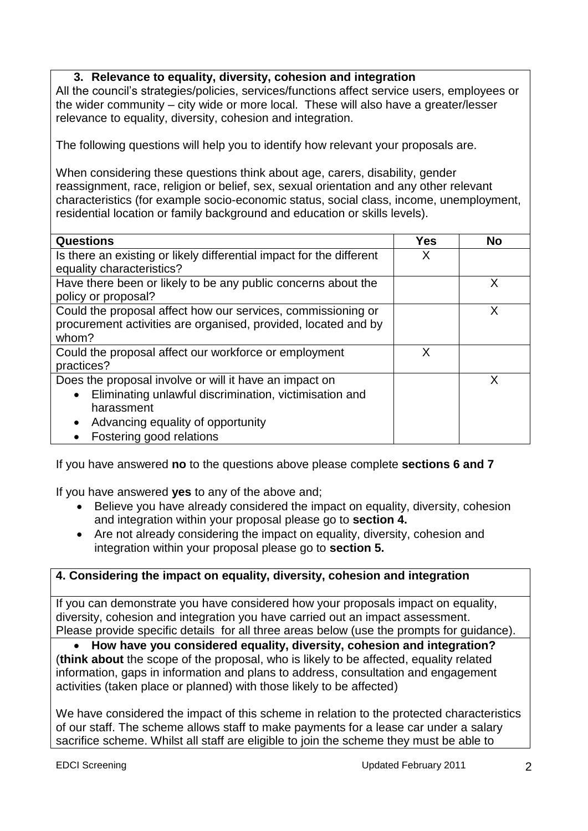# **3. Relevance to equality, diversity, cohesion and integration**

All the council's strategies/policies, services/functions affect service users, employees or the wider community – city wide or more local. These will also have a greater/lesser relevance to equality, diversity, cohesion and integration.

The following questions will help you to identify how relevant your proposals are.

When considering these questions think about age, carers, disability, gender reassignment, race, religion or belief, sex, sexual orientation and any other relevant characteristics (for example socio-economic status, social class, income, unemployment, residential location or family background and education or skills levels).

| <b>Questions</b>                                                     | Yes | <b>No</b> |
|----------------------------------------------------------------------|-----|-----------|
| Is there an existing or likely differential impact for the different | X   |           |
| equality characteristics?                                            |     |           |
|                                                                      |     |           |
| Have there been or likely to be any public concerns about the        |     | X         |
| policy or proposal?                                                  |     |           |
| Could the proposal affect how our services, commissioning or         |     | X         |
| procurement activities are organised, provided, located and by       |     |           |
| whom?                                                                |     |           |
| Could the proposal affect our workforce or employment                | X   |           |
| practices?                                                           |     |           |
| Does the proposal involve or will it have an impact on               |     | x         |
| Eliminating unlawful discrimination, victimisation and<br>$\bullet$  |     |           |
| harassment                                                           |     |           |
| Advancing equality of opportunity<br>$\bullet$                       |     |           |
| Fostering good relations                                             |     |           |

If you have answered **no** to the questions above please complete **sections 6 and 7**

If you have answered **yes** to any of the above and;

- Believe you have already considered the impact on equality, diversity, cohesion and integration within your proposal please go to **section 4.**
- Are not already considering the impact on equality, diversity, cohesion and integration within your proposal please go to **section 5.**

### **4. Considering the impact on equality, diversity, cohesion and integration**

If you can demonstrate you have considered how your proposals impact on equality, diversity, cohesion and integration you have carried out an impact assessment. Please provide specific details for all three areas below (use the prompts for guidance).

 **How have you considered equality, diversity, cohesion and integration?** (**think about** the scope of the proposal, who is likely to be affected, equality related information, gaps in information and plans to address, consultation and engagement activities (taken place or planned) with those likely to be affected)

We have considered the impact of this scheme in relation to the protected characteristics of our staff. The scheme allows staff to make payments for a lease car under a salary sacrifice scheme. Whilst all staff are eligible to join the scheme they must be able to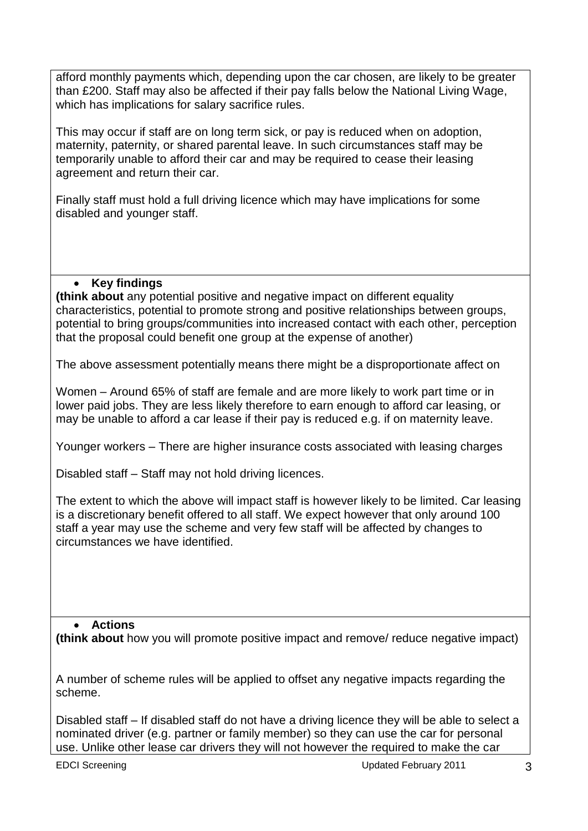afford monthly payments which, depending upon the car chosen, are likely to be greater than £200. Staff may also be affected if their pay falls below the National Living Wage, which has implications for salary sacrifice rules.

This may occur if staff are on long term sick, or pay is reduced when on adoption, maternity, paternity, or shared parental leave. In such circumstances staff may be temporarily unable to afford their car and may be required to cease their leasing agreement and return their car.

Finally staff must hold a full driving licence which may have implications for some disabled and younger staff.

# **Key findings**

**(think about** any potential positive and negative impact on different equality characteristics, potential to promote strong and positive relationships between groups, potential to bring groups/communities into increased contact with each other, perception that the proposal could benefit one group at the expense of another)

The above assessment potentially means there might be a disproportionate affect on

Women – Around 65% of staff are female and are more likely to work part time or in lower paid jobs. They are less likely therefore to earn enough to afford car leasing, or may be unable to afford a car lease if their pay is reduced e.g. if on maternity leave.

Younger workers – There are higher insurance costs associated with leasing charges

Disabled staff – Staff may not hold driving licences.

The extent to which the above will impact staff is however likely to be limited. Car leasing is a discretionary benefit offered to all staff. We expect however that only around 100 staff a year may use the scheme and very few staff will be affected by changes to circumstances we have identified.

#### **Actions**

**(think about** how you will promote positive impact and remove/ reduce negative impact)

A number of scheme rules will be applied to offset any negative impacts regarding the scheme.

Disabled staff – If disabled staff do not have a driving licence they will be able to select a nominated driver (e.g. partner or family member) so they can use the car for personal use. Unlike other lease car drivers they will not however the required to make the car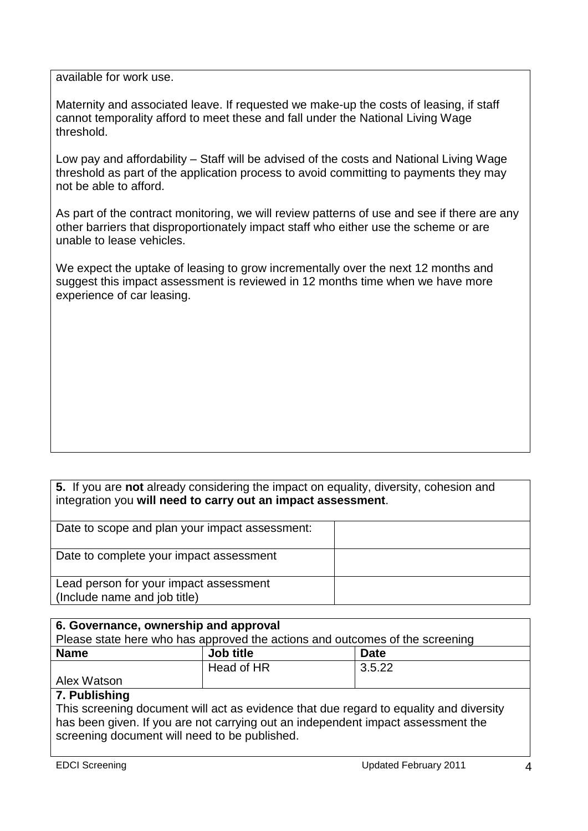available for work use.

Maternity and associated leave. If requested we make-up the costs of leasing, if staff cannot temporality afford to meet these and fall under the National Living Wage threshold.

Low pay and affordability – Staff will be advised of the costs and National Living Wage threshold as part of the application process to avoid committing to payments they may not be able to afford.

As part of the contract monitoring, we will review patterns of use and see if there are any other barriers that disproportionately impact staff who either use the scheme or are unable to lease vehicles.

We expect the uptake of leasing to grow incrementally over the next 12 months and suggest this impact assessment is reviewed in 12 months time when we have more experience of car leasing.

**5.** If you are **not** already considering the impact on equality, diversity, cohesion and integration you **will need to carry out an impact assessment**.

| Date to scope and plan your impact assessment:                         |  |
|------------------------------------------------------------------------|--|
| Date to complete your impact assessment                                |  |
| Lead person for your impact assessment<br>(Include name and job title) |  |

| 6. Governance, ownership and approval                                                  |            |             |  |  |
|----------------------------------------------------------------------------------------|------------|-------------|--|--|
| Please state here who has approved the actions and outcomes of the screening           |            |             |  |  |
| <b>Name</b>                                                                            | Job title  | <b>Date</b> |  |  |
|                                                                                        | Head of HR | 3.5.22      |  |  |
| Alex Watson                                                                            |            |             |  |  |
| 7. Publishing                                                                          |            |             |  |  |
| This screening document will act as evidence that due regard to equality and diversity |            |             |  |  |

has been given. If you are not carrying out an independent impact assessment the screening document will need to be published.